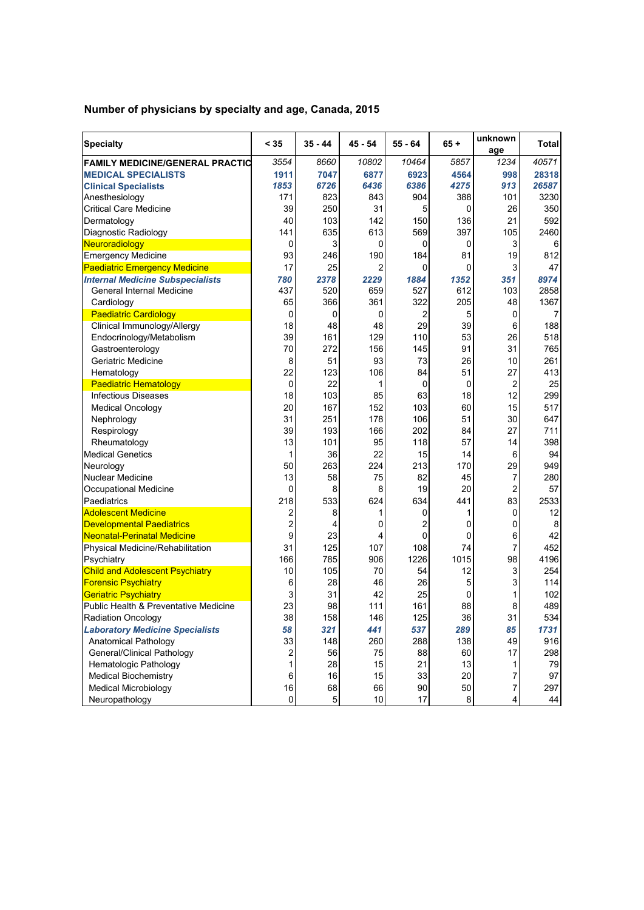## **Number of physicians by specialty and age, Canada, 2015**

| <b>Specialty</b>                        | < 35                    | $35 - 44$ | 45 - 54        | $55 - 64$ | $65 +$ | unknown<br>age | Total |
|-----------------------------------------|-------------------------|-----------|----------------|-----------|--------|----------------|-------|
| <b>FAMILY MEDICINE/GENERAL PRACTIC</b>  | 3554                    | 8660      | 10802          | 10464     | 5857   | 1234           | 40571 |
| <b>MEDICAL SPECIALISTS</b>              | 1911                    | 7047      | 6877           | 6923      | 4564   | 998            | 28318 |
| <b>Clinical Specialists</b>             | 1853                    | 6726      | 6436           | 6386      | 4275   | 913            | 26587 |
| Anesthesiology                          | 171                     | 823       | 843            | 904       | 388    | 101            | 3230  |
| <b>Critical Care Medicine</b>           | 39                      | 250       | 31             | 5         | 0      | 26             | 350   |
| Dermatology                             | 40                      | 103       | 142            | 150       | 136    | 21             | 592   |
| Diagnostic Radiology                    | 141                     | 635       | 613            | 569       | 397    | 105            | 2460  |
| Neuroradiology                          | 0                       | 3         | 0              | 0         | 0      | 3              | 6     |
| <b>Emergency Medicine</b>               | 93                      | 246       | 190            | 184       | 81     | 19             | 812   |
| <b>Paediatric Emergency Medicine</b>    | 17                      | 25        | $\overline{2}$ | 0         | 0      | 3              | 47    |
| <b>Internal Medicine Subspecialists</b> | 780                     | 2378      | 2229           | 1884      | 1352   | 351            | 8974  |
| General Internal Medicine               | 437                     | 520       | 659            | 527       | 612    | 103            | 2858  |
| Cardiology                              | 65                      | 366       | 361            | 322       | 205    | 48             | 1367  |
| <b>Paediatric Cardiology</b>            | 0                       | 0         | 0              | 2         | 5      | 0              | 7     |
| Clinical Immunology/Allergy             | 18                      | 48        | 48             | 29        | 39     | 6              | 188   |
| Endocrinology/Metabolism                | 39                      | 161       | 129            | 110       | 53     | 26             | 518   |
| Gastroenterology                        | 70                      | 272       | 156            | 145       | 91     | 31             | 765   |
| Geriatric Medicine                      | 8                       | 51        | 93             | 73        | 26     | 10             | 261   |
| Hematology                              | 22                      | 123       | 106            | 84        | 51     | 27             | 413   |
| <b>Paediatric Hematology</b>            | 0                       | 22        | 1              | 0         | 0      | $\overline{2}$ | 25    |
| <b>Infectious Diseases</b>              | 18                      | 103       | 85             | 63        | 18     | 12             | 299   |
| <b>Medical Oncology</b>                 | 20                      | 167       | 152            | 103       | 60     | 15             | 517   |
| Nephrology                              | 31                      | 251       | 178            | 106       | 51     | 30             | 647   |
| Respirology                             | 39                      | 193       | 166            | 202       | 84     | 27             | 711   |
| Rheumatology                            | 13                      | 101       | 95             | 118       | 57     | 14             | 398   |
| <b>Medical Genetics</b>                 | 1                       | 36        | 22             | 15        | 14     | 6              | 94    |
| Neurology                               | 50                      | 263       | 224            | 213       | 170    | 29             | 949   |
| <b>Nuclear Medicine</b>                 | 13                      | 58        | 75             | 82        | 45     | 7              | 280   |
| Occupational Medicine                   | 0                       | 8         | 8              | 19        | 20     | $\overline{2}$ | 57    |
| Paediatrics                             | 218                     | 533       | 624            | 634       | 441    | 83             | 2533  |
| <b>Adolescent Medicine</b>              | 2                       | 8         | 1              | 0         | 1      | 0              | 12    |
| <b>Developmental Paediatrics</b>        | $\overline{\mathbf{c}}$ | 4         | 0              | 2         | 0      | 0              | 8     |
| Neonatal-Perinatal Medicine             | 9                       | 23        | 4              | 0         | 0      | 6              | 42    |
| Physical Medicine/Rehabilitation        | 31                      | 125       | 107            | 108       | 74     | $\overline{7}$ | 452   |
| Psychiatry                              | 166                     | 785       | 906            | 1226      | 1015   | 98             | 4196  |
| <b>Child and Adolescent Psychiatry</b>  | 10                      | 105       | 70             | 54        | 12     | 3              | 254   |
| <b>Forensic Psychiatry</b>              | 6                       | 28        | 46             | 26        | 5      | 3              | 114   |
| <b>Geriatric Psychiatry</b>             | 3                       | 31        | 42             | 25        | 0      | 1              | 102   |
| Public Health & Preventative Medicine   | 23                      | 98        | 111            | 161       | 88     | 8              | 489   |
| <b>Radiation Oncology</b>               | 38                      | 158       | 146            | 125       | 36     | 31             | 534   |
| <b>Laboratory Medicine Specialists</b>  | 58                      | 321       | 441            | 537       | 289    | 85             | 1731  |
| <b>Anatomical Pathology</b>             | 33                      | 148       | 260            | 288       | 138    | 49             | 916   |
| General/Clinical Pathology              | 2                       | 56        | 75             | 88        | 60     | 17             | 298   |
| Hematologic Pathology                   | 1                       | 28        | 15             | 21        | 13     | 1              | 79    |
| <b>Medical Biochemistry</b>             | 6                       | 16        | 15             | 33        | 20     | 7              | 97    |
| <b>Medical Microbiology</b>             | 16                      | 68        | 66             | 90        | 50     | $\overline{7}$ | 297   |
| Neuropathology                          | $\pmb{0}$               | 5         | $10$           | 17        | 8      | 4              | 44    |